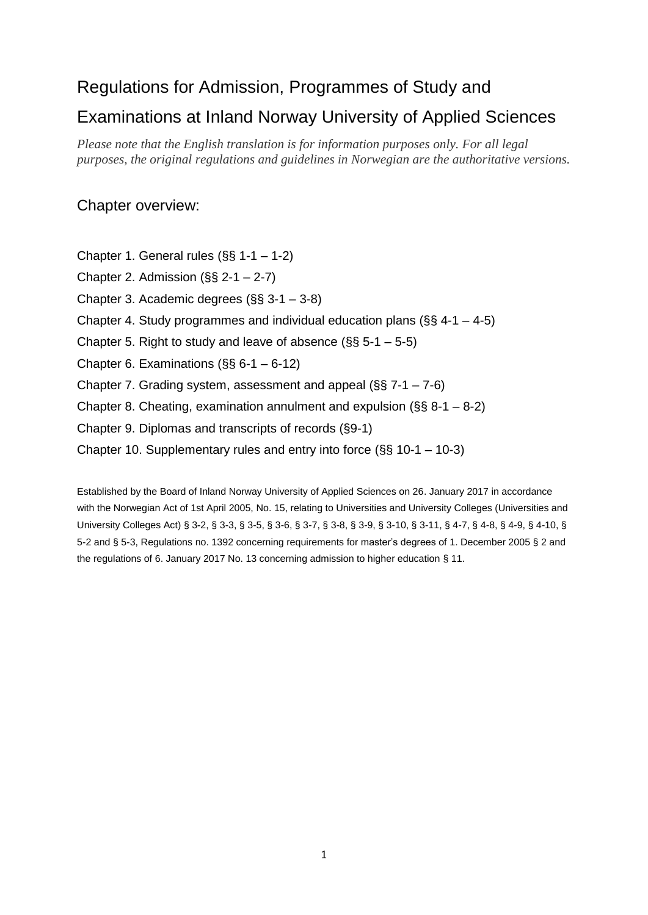# Regulations for Admission, Programmes of Study and

# Examinations at Inland Norway University of Applied Sciences

*Please note that the English translation is for information purposes only. For all legal purposes, the original regulations and guidelines in Norwegian are the authoritative versions.* 

# Chapter overview:

- Chapter 1. General rules (§§ 1-1 1-2)
- Chapter 2. Admission (§§ 2-1 2-7)
- Chapter 3. Academic degrees (§§ 3-1 3-8)
- Chapter 4. Study programmes and individual education plans ( $\S$ § 4-1 4-5)
- Chapter 5. Right to study and leave of absence (§§ 5-1 5-5)
- Chapter 6. Examinations (§§ 6-1 6-12)
- Chapter 7. Grading system, assessment and appeal (§§ 7-1 7-6)
- Chapter 8. Cheating, examination annulment and expulsion (§§ 8-1 8-2)
- Chapter 9. Diplomas and transcripts of records (§9-1)
- Chapter 10. Supplementary rules and entry into force (§§ 10-1 10-3)

Established by the Board of Inland Norway University of Applied Sciences on 26. January 2017 in accordance with the Norwegian Act of 1st April 2005, No. 15, relating to Universities and University Colleges (Universities and University Colleges Act) § 3-2, § 3-3, § 3-5, § 3-6, § 3-7, § 3-8, § 3-9, § 3-10, § 3-11, § 4-7, § 4-8, § 4-9, § 4-10, § 5-2 and § 5-3, Regulations no. 1392 concerning requirements for master's degrees of 1. December 2005 § 2 and the regulations of 6. January 2017 No. 13 concerning admission to higher education § 11.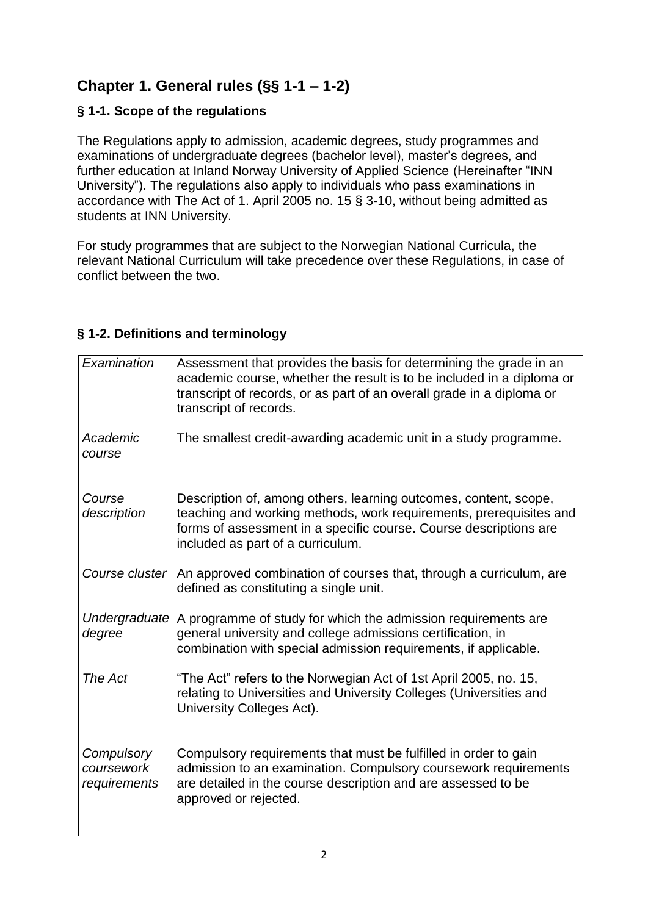# **Chapter 1. General rules (§§ 1-1 – 1-2)**

# **§ 1-1. Scope of the regulations**

The Regulations apply to admission, academic degrees, study programmes and examinations of undergraduate degrees (bachelor level), master's degrees, and further education at Inland Norway University of Applied Science (Hereinafter "INN University"). The regulations also apply to individuals who pass examinations in accordance with The Act of 1. April 2005 no. 15 § 3-10, without being admitted as students at INN University.

For study programmes that are subject to the Norwegian National Curricula, the relevant National Curriculum will take precedence over these Regulations, in case of conflict between the two.

| Examination                              | Assessment that provides the basis for determining the grade in an<br>academic course, whether the result is to be included in a diploma or<br>transcript of records, or as part of an overall grade in a diploma or<br>transcript of records.   |
|------------------------------------------|--------------------------------------------------------------------------------------------------------------------------------------------------------------------------------------------------------------------------------------------------|
| Academic<br>course                       | The smallest credit-awarding academic unit in a study programme.                                                                                                                                                                                 |
| Course<br>description                    | Description of, among others, learning outcomes, content, scope,<br>teaching and working methods, work requirements, prerequisites and<br>forms of assessment in a specific course. Course descriptions are<br>included as part of a curriculum. |
| Course cluster                           | An approved combination of courses that, through a curriculum, are<br>defined as constituting a single unit.                                                                                                                                     |
| Undergraduate<br>degree                  | A programme of study for which the admission requirements are<br>general university and college admissions certification, in<br>combination with special admission requirements, if applicable.                                                  |
| The Act                                  | "The Act" refers to the Norwegian Act of 1st April 2005, no. 15,<br>relating to Universities and University Colleges (Universities and<br>University Colleges Act).                                                                              |
| Compulsory<br>coursework<br>requirements | Compulsory requirements that must be fulfilled in order to gain<br>admission to an examination. Compulsory coursework requirements<br>are detailed in the course description and are assessed to be<br>approved or rejected.                     |

### **§ 1-2. Definitions and terminology**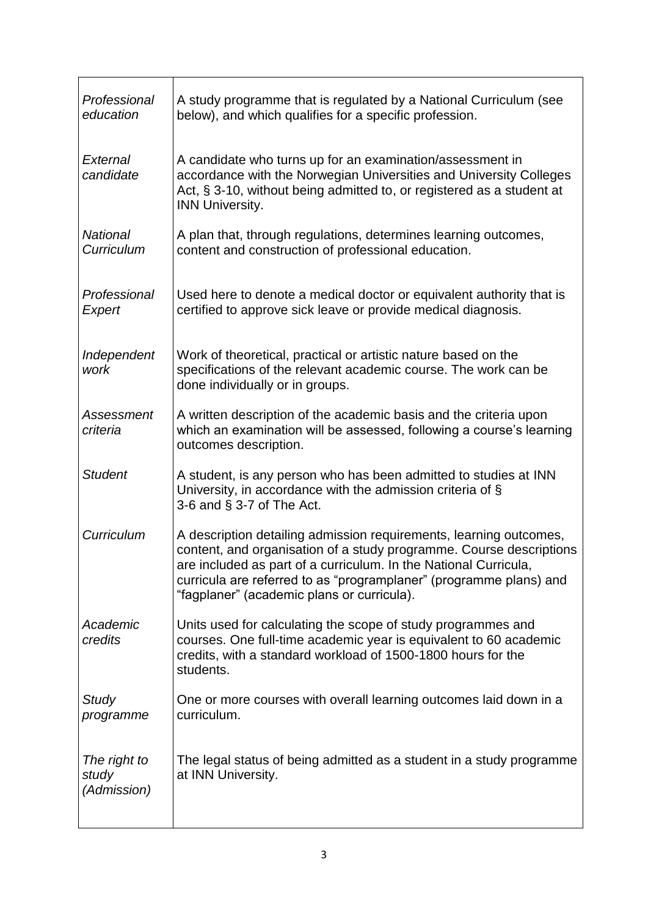| Professional<br>education            | A study programme that is regulated by a National Curriculum (see<br>below), and which qualifies for a specific profession.                                                                                                                                                                                                       |
|--------------------------------------|-----------------------------------------------------------------------------------------------------------------------------------------------------------------------------------------------------------------------------------------------------------------------------------------------------------------------------------|
| External<br>candidate                | A candidate who turns up for an examination/assessment in<br>accordance with the Norwegian Universities and University Colleges<br>Act, § 3-10, without being admitted to, or registered as a student at<br><b>INN University.</b>                                                                                                |
| <b>National</b><br>Curriculum        | A plan that, through regulations, determines learning outcomes,<br>content and construction of professional education.                                                                                                                                                                                                            |
| Professional<br>Expert               | Used here to denote a medical doctor or equivalent authority that is<br>certified to approve sick leave or provide medical diagnosis.                                                                                                                                                                                             |
| Independent<br>work                  | Work of theoretical, practical or artistic nature based on the<br>specifications of the relevant academic course. The work can be<br>done individually or in groups.                                                                                                                                                              |
| <b>Assessment</b><br>criteria        | A written description of the academic basis and the criteria upon<br>which an examination will be assessed, following a course's learning<br>outcomes description.                                                                                                                                                                |
| <b>Student</b>                       | A student, is any person who has been admitted to studies at INN<br>University, in accordance with the admission criteria of §<br>3-6 and $\S$ 3-7 of The Act.                                                                                                                                                                    |
| Curriculum                           | A description detailing admission requirements, learning outcomes,<br>content, and organisation of a study programme. Course descriptions<br>are included as part of a curriculum. In the National Curricula,<br>curricula are referred to as "programplaner" (programme plans) and<br>"fagplaner" (academic plans or curricula). |
| Academic<br>credits                  | Units used for calculating the scope of study programmes and<br>courses. One full-time academic year is equivalent to 60 academic<br>credits, with a standard workload of 1500-1800 hours for the<br>students.                                                                                                                    |
| Study<br>programme                   | One or more courses with overall learning outcomes laid down in a<br>curriculum.                                                                                                                                                                                                                                                  |
| The right to<br>study<br>(Admission) | The legal status of being admitted as a student in a study programme<br>at INN University.                                                                                                                                                                                                                                        |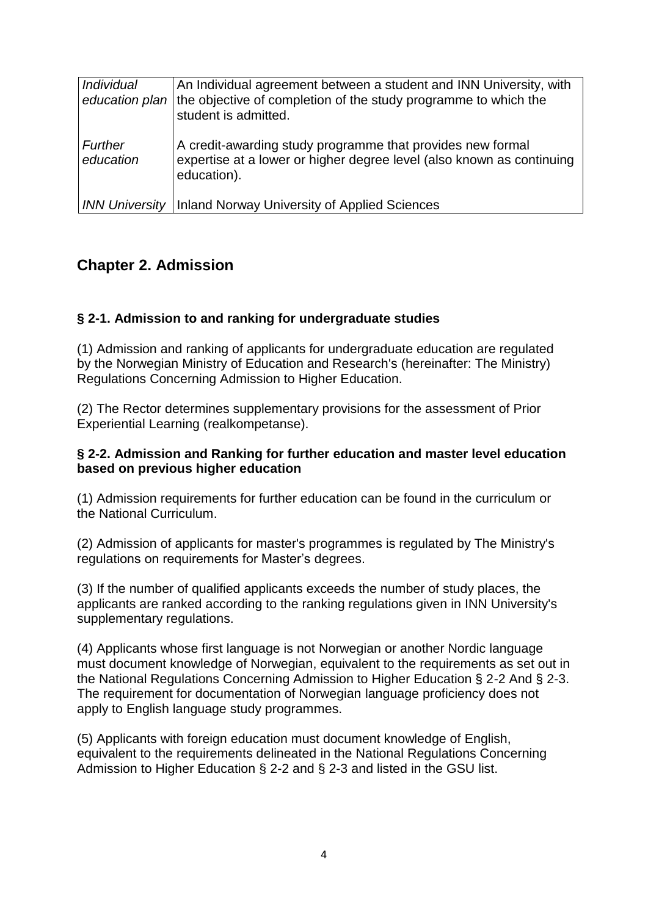| <i><b>Individual</b></i> | An Individual agreement between a student and INN University, with<br>education plan   the objective of completion of the study programme to which the<br>student is admitted. |
|--------------------------|--------------------------------------------------------------------------------------------------------------------------------------------------------------------------------|
| Further<br>education     | A credit-awarding study programme that provides new formal<br>expertise at a lower or higher degree level (also known as continuing<br>education).                             |
|                          | <b>INN University   Inland Norway University of Applied Sciences</b>                                                                                                           |

# **Chapter 2. Admission**

### **§ 2-1. Admission to and ranking for undergraduate studies**

(1) Admission and ranking of applicants for undergraduate education are regulated by the Norwegian Ministry of Education and Research's (hereinafter: The Ministry) Regulations Concerning Admission to Higher Education.

(2) The Rector determines supplementary provisions for the assessment of Prior Experiential Learning (realkompetanse).

#### **§ 2-2. Admission and Ranking for further education and master level education based on previous higher education**

(1) Admission requirements for further education can be found in the curriculum or the National Curriculum.

(2) Admission of applicants for master's programmes is regulated by The Ministry's regulations on requirements for Master's degrees.

(3) If the number of qualified applicants exceeds the number of study places, the applicants are ranked according to the ranking regulations given in INN University's supplementary regulations.

(4) Applicants whose first language is not Norwegian or another Nordic language must document knowledge of Norwegian, equivalent to the requirements as set out in the National Regulations Concerning Admission to Higher Education § 2-2 And § 2-3. The requirement for documentation of Norwegian language proficiency does not apply to English language study programmes.

(5) Applicants with foreign education must document knowledge of English, equivalent to the requirements delineated in the National Regulations Concerning Admission to Higher Education § 2-2 and § 2-3 and listed in the GSU list.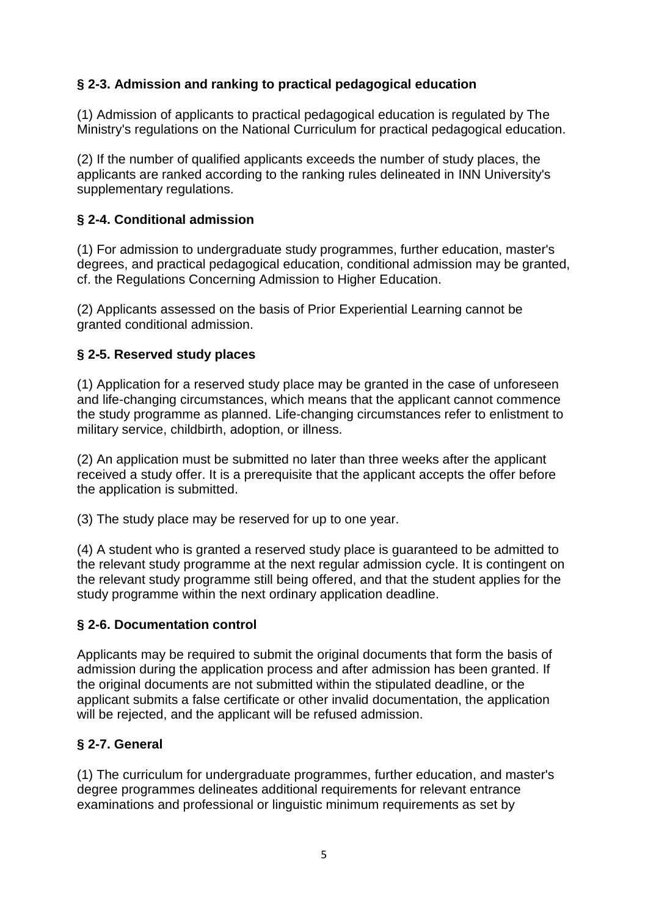# **§ 2-3. Admission and ranking to practical pedagogical education**

(1) Admission of applicants to practical pedagogical education is regulated by The Ministry's regulations on the National Curriculum for practical pedagogical education.

(2) If the number of qualified applicants exceeds the number of study places, the applicants are ranked according to the ranking rules delineated in INN University's supplementary regulations.

### **§ 2-4. Conditional admission**

(1) For admission to undergraduate study programmes, further education, master's degrees, and practical pedagogical education, conditional admission may be granted, cf. the Regulations Concerning Admission to Higher Education.

(2) Applicants assessed on the basis of Prior Experiential Learning cannot be granted conditional admission.

### **§ 2-5. Reserved study places**

(1) Application for a reserved study place may be granted in the case of unforeseen and life-changing circumstances, which means that the applicant cannot commence the study programme as planned. Life-changing circumstances refer to enlistment to military service, childbirth, adoption, or illness.

(2) An application must be submitted no later than three weeks after the applicant received a study offer. It is a prerequisite that the applicant accepts the offer before the application is submitted.

(3) The study place may be reserved for up to one year.

(4) A student who is granted a reserved study place is guaranteed to be admitted to the relevant study programme at the next regular admission cycle. It is contingent on the relevant study programme still being offered, and that the student applies for the study programme within the next ordinary application deadline.

### **§ 2-6. Documentation control**

Applicants may be required to submit the original documents that form the basis of admission during the application process and after admission has been granted. If the original documents are not submitted within the stipulated deadline, or the applicant submits a false certificate or other invalid documentation, the application will be rejected, and the applicant will be refused admission.

# **§ 2-7. General**

(1) The curriculum for undergraduate programmes, further education, and master's degree programmes delineates additional requirements for relevant entrance examinations and professional or linguistic minimum requirements as set by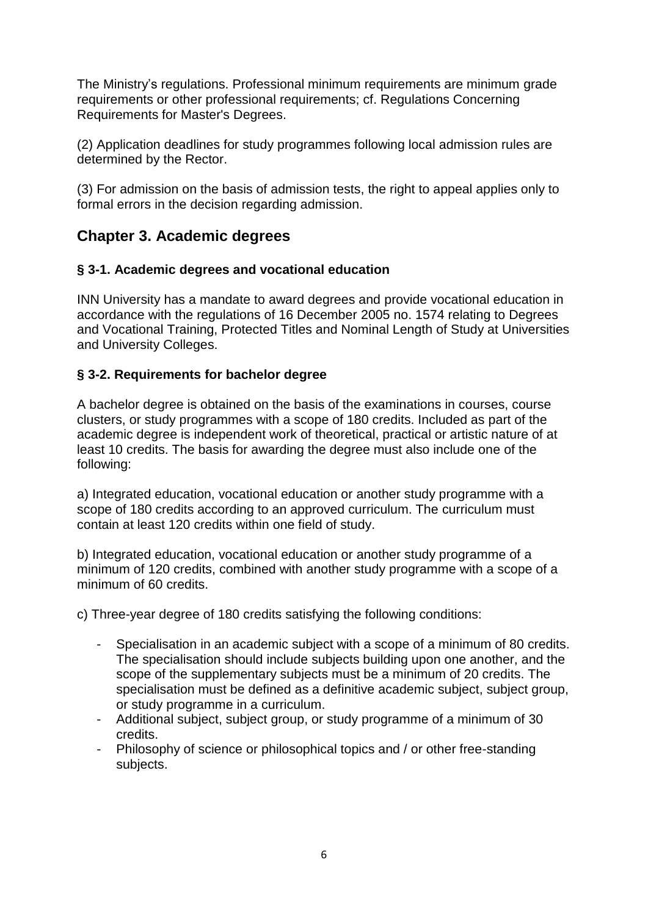The Ministry's regulations. Professional minimum requirements are minimum grade requirements or other professional requirements; cf. Regulations Concerning Requirements for Master's Degrees.

(2) Application deadlines for study programmes following local admission rules are determined by the Rector.

(3) For admission on the basis of admission tests, the right to appeal applies only to formal errors in the decision regarding admission.

# **Chapter 3. Academic degrees**

### **§ 3-1. Academic degrees and vocational education**

INN University has a mandate to award degrees and provide vocational education in accordance with the regulations of 16 December 2005 no. 1574 relating to Degrees and Vocational Training, Protected Titles and Nominal Length of Study at Universities and University Colleges.

### **§ 3-2. Requirements for bachelor degree**

A bachelor degree is obtained on the basis of the examinations in courses, course clusters, or study programmes with a scope of 180 credits. Included as part of the academic degree is independent work of theoretical, practical or artistic nature of at least 10 credits. The basis for awarding the degree must also include one of the following:

a) Integrated education, vocational education or another study programme with a scope of 180 credits according to an approved curriculum. The curriculum must contain at least 120 credits within one field of study.

b) Integrated education, vocational education or another study programme of a minimum of 120 credits, combined with another study programme with a scope of a minimum of 60 credits.

c) Three-year degree of 180 credits satisfying the following conditions:

- Specialisation in an academic subject with a scope of a minimum of 80 credits. The specialisation should include subjects building upon one another, and the scope of the supplementary subjects must be a minimum of 20 credits. The specialisation must be defined as a definitive academic subject, subject group, or study programme in a curriculum.
- Additional subject, subject group, or study programme of a minimum of 30 credits.
- Philosophy of science or philosophical topics and / or other free-standing subjects.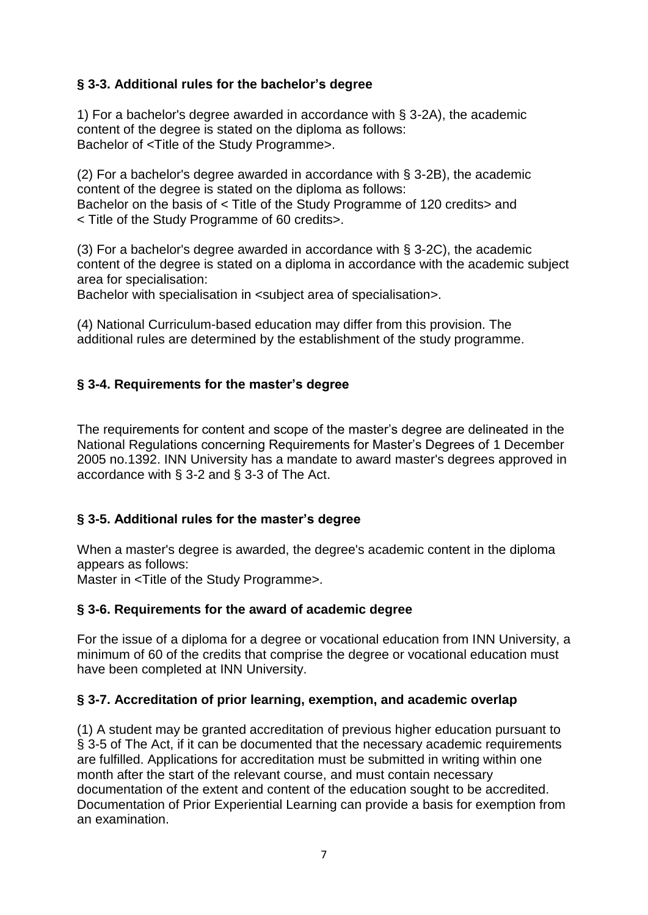# **§ 3-3. Additional rules for the bachelor's degree**

1) For a bachelor's degree awarded in accordance with § 3-2A), the academic content of the degree is stated on the diploma as follows: Bachelor of <Title of the Study Programme>.

(2) For a bachelor's degree awarded in accordance with § 3-2B), the academic content of the degree is stated on the diploma as follows: Bachelor on the basis of < Title of the Study Programme of 120 credits> and < Title of the Study Programme of 60 credits>.

(3) For a bachelor's degree awarded in accordance with § 3-2C), the academic content of the degree is stated on a diploma in accordance with the academic subject area for specialisation:

Bachelor with specialisation in <subject area of specialisation>.

(4) National Curriculum-based education may differ from this provision. The additional rules are determined by the establishment of the study programme.

### **§ 3-4. Requirements for the master's degree**

The requirements for content and scope of the master's degree are delineated in the National Regulations concerning Requirements for Master's Degrees of 1 December 2005 no.1392. INN University has a mandate to award master's degrees approved in accordance with § 3-2 and § 3-3 of The Act.

# **§ 3-5. Additional rules for the master's degree**

When a master's degree is awarded, the degree's academic content in the diploma appears as follows:

Master in <Title of the Study Programme>.

### **§ 3-6. Requirements for the award of academic degree**

For the issue of a diploma for a degree or vocational education from INN University, a minimum of 60 of the credits that comprise the degree or vocational education must have been completed at INN University.

### **§ 3-7. Accreditation of prior learning, exemption, and academic overlap**

(1) A student may be granted accreditation of previous higher education pursuant to § 3-5 of The Act, if it can be documented that the necessary academic requirements are fulfilled. Applications for accreditation must be submitted in writing within one month after the start of the relevant course, and must contain necessary documentation of the extent and content of the education sought to be accredited. Documentation of Prior Experiential Learning can provide a basis for exemption from an examination.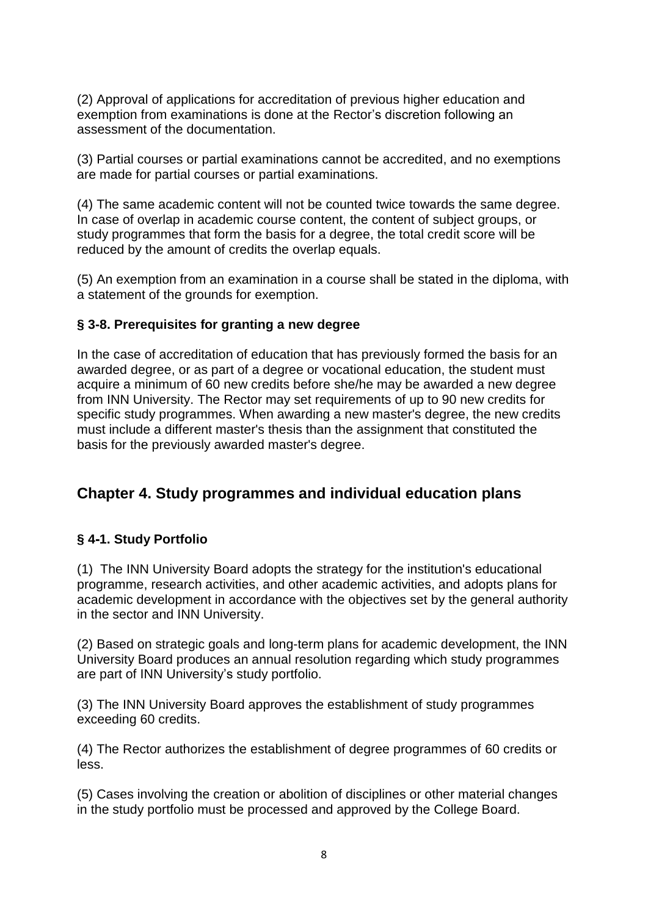(2) Approval of applications for accreditation of previous higher education and exemption from examinations is done at the Rector's discretion following an assessment of the documentation.

(3) Partial courses or partial examinations cannot be accredited, and no exemptions are made for partial courses or partial examinations.

(4) The same academic content will not be counted twice towards the same degree. In case of overlap in academic course content, the content of subject groups, or study programmes that form the basis for a degree, the total credit score will be reduced by the amount of credits the overlap equals.

(5) An exemption from an examination in a course shall be stated in the diploma, with a statement of the grounds for exemption.

#### **§ 3-8. Prerequisites for granting a new degree**

In the case of accreditation of education that has previously formed the basis for an awarded degree, or as part of a degree or vocational education, the student must acquire a minimum of 60 new credits before she/he may be awarded a new degree from INN University. The Rector may set requirements of up to 90 new credits for specific study programmes. When awarding a new master's degree, the new credits must include a different master's thesis than the assignment that constituted the basis for the previously awarded master's degree.

# **Chapter 4. Study programmes and individual education plans**

### **§ 4-1. Study Portfolio**

(1) The INN University Board adopts the strategy for the institution's educational programme, research activities, and other academic activities, and adopts plans for academic development in accordance with the objectives set by the general authority in the sector and INN University.

(2) Based on strategic goals and long-term plans for academic development, the INN University Board produces an annual resolution regarding which study programmes are part of INN University's study portfolio.

(3) The INN University Board approves the establishment of study programmes exceeding 60 credits.

(4) The Rector authorizes the establishment of degree programmes of 60 credits or less.

(5) Cases involving the creation or abolition of disciplines or other material changes in the study portfolio must be processed and approved by the College Board.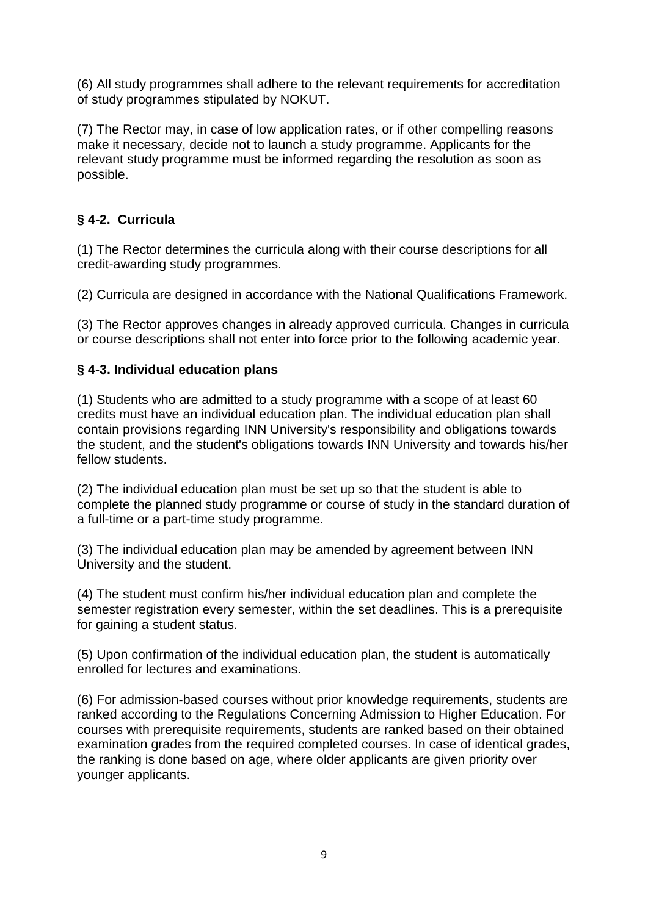(6) All study programmes shall adhere to the relevant requirements for accreditation of study programmes stipulated by NOKUT.

(7) The Rector may, in case of low application rates, or if other compelling reasons make it necessary, decide not to launch a study programme. Applicants for the relevant study programme must be informed regarding the resolution as soon as possible.

# **§ 4-2. Curricula**

(1) The Rector determines the curricula along with their course descriptions for all credit-awarding study programmes.

(2) Curricula are designed in accordance with the National Qualifications Framework.

(3) The Rector approves changes in already approved curricula. Changes in curricula or course descriptions shall not enter into force prior to the following academic year.

### **§ 4-3. Individual education plans**

(1) Students who are admitted to a study programme with a scope of at least 60 credits must have an individual education plan. The individual education plan shall contain provisions regarding INN University's responsibility and obligations towards the student, and the student's obligations towards INN University and towards his/her fellow students.

(2) The individual education plan must be set up so that the student is able to complete the planned study programme or course of study in the standard duration of a full-time or a part-time study programme.

(3) The individual education plan may be amended by agreement between INN University and the student.

(4) The student must confirm his/her individual education plan and complete the semester registration every semester, within the set deadlines. This is a prerequisite for gaining a student status.

(5) Upon confirmation of the individual education plan, the student is automatically enrolled for lectures and examinations.

(6) For admission-based courses without prior knowledge requirements, students are ranked according to the Regulations Concerning Admission to Higher Education. For courses with prerequisite requirements, students are ranked based on their obtained examination grades from the required completed courses. In case of identical grades, the ranking is done based on age, where older applicants are given priority over younger applicants.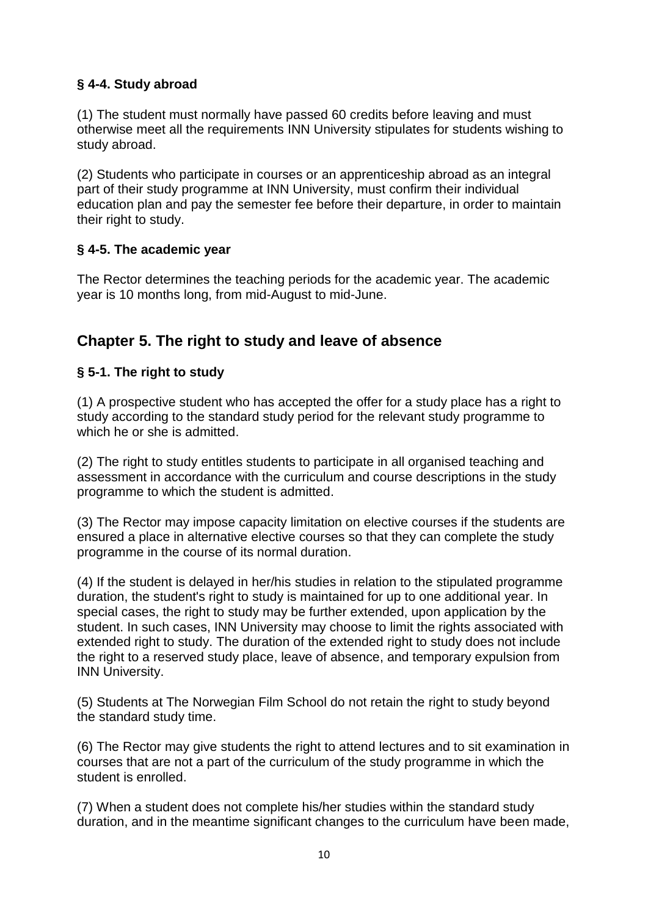### **§ 4-4. Study abroad**

(1) The student must normally have passed 60 credits before leaving and must otherwise meet all the requirements INN University stipulates for students wishing to study abroad.

(2) Students who participate in courses or an apprenticeship abroad as an integral part of their study programme at INN University, must confirm their individual education plan and pay the semester fee before their departure, in order to maintain their right to study.

### **§ 4-5. The academic year**

The Rector determines the teaching periods for the academic year. The academic year is 10 months long, from mid-August to mid-June.

# **Chapter 5. The right to study and leave of absence**

### **§ 5-1. The right to study**

(1) A prospective student who has accepted the offer for a study place has a right to study according to the standard study period for the relevant study programme to which he or she is admitted.

(2) The right to study entitles students to participate in all organised teaching and assessment in accordance with the curriculum and course descriptions in the study programme to which the student is admitted.

(3) The Rector may impose capacity limitation on elective courses if the students are ensured a place in alternative elective courses so that they can complete the study programme in the course of its normal duration.

(4) If the student is delayed in her/his studies in relation to the stipulated programme duration, the student's right to study is maintained for up to one additional year. In special cases, the right to study may be further extended, upon application by the student. In such cases, INN University may choose to limit the rights associated with extended right to study. The duration of the extended right to study does not include the right to a reserved study place, leave of absence, and temporary expulsion from INN University.

(5) Students at The Norwegian Film School do not retain the right to study beyond the standard study time.

(6) The Rector may give students the right to attend lectures and to sit examination in courses that are not a part of the curriculum of the study programme in which the student is enrolled.

(7) When a student does not complete his/her studies within the standard study duration, and in the meantime significant changes to the curriculum have been made,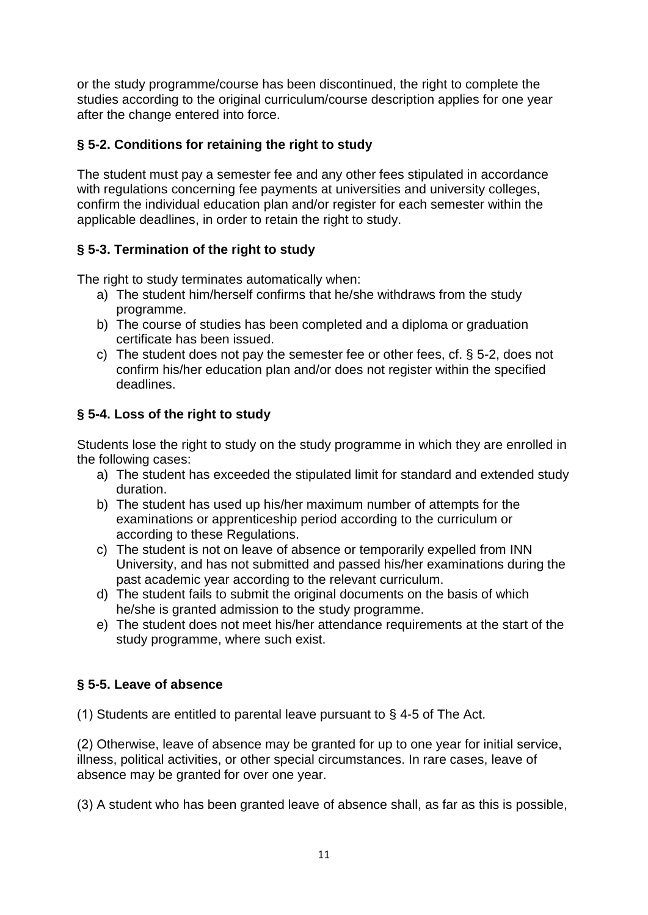or the study programme/course has been discontinued, the right to complete the studies according to the original curriculum/course description applies for one year after the change entered into force.

### **§ 5-2. Conditions for retaining the right to study**

The student must pay a semester fee and any other fees stipulated in accordance with regulations concerning fee payments at universities and university colleges, confirm the individual education plan and/or register for each semester within the applicable deadlines, in order to retain the right to study.

### **§ 5-3. Termination of the right to study**

The right to study terminates automatically when:

- a) The student him/herself confirms that he/she withdraws from the study programme.
- b) The course of studies has been completed and a diploma or graduation certificate has been issued.
- c) The student does not pay the semester fee or other fees, cf. § 5-2, does not confirm his/her education plan and/or does not register within the specified deadlines.

# **§ 5-4. Loss of the right to study**

Students lose the right to study on the study programme in which they are enrolled in the following cases:

- a) The student has exceeded the stipulated limit for standard and extended study duration.
- b) The student has used up his/her maximum number of attempts for the examinations or apprenticeship period according to the curriculum or according to these Regulations.
- c) The student is not on leave of absence or temporarily expelled from INN University, and has not submitted and passed his/her examinations during the past academic year according to the relevant curriculum.
- d) The student fails to submit the original documents on the basis of which he/she is granted admission to the study programme.
- e) The student does not meet his/her attendance requirements at the start of the study programme, where such exist.

# **§ 5-5. Leave of absence**

(1) Students are entitled to parental leave pursuant to § 4-5 of The Act.

(2) Otherwise, leave of absence may be granted for up to one year for initial service, illness, political activities, or other special circumstances. In rare cases, leave of absence may be granted for over one year.

(3) A student who has been granted leave of absence shall, as far as this is possible,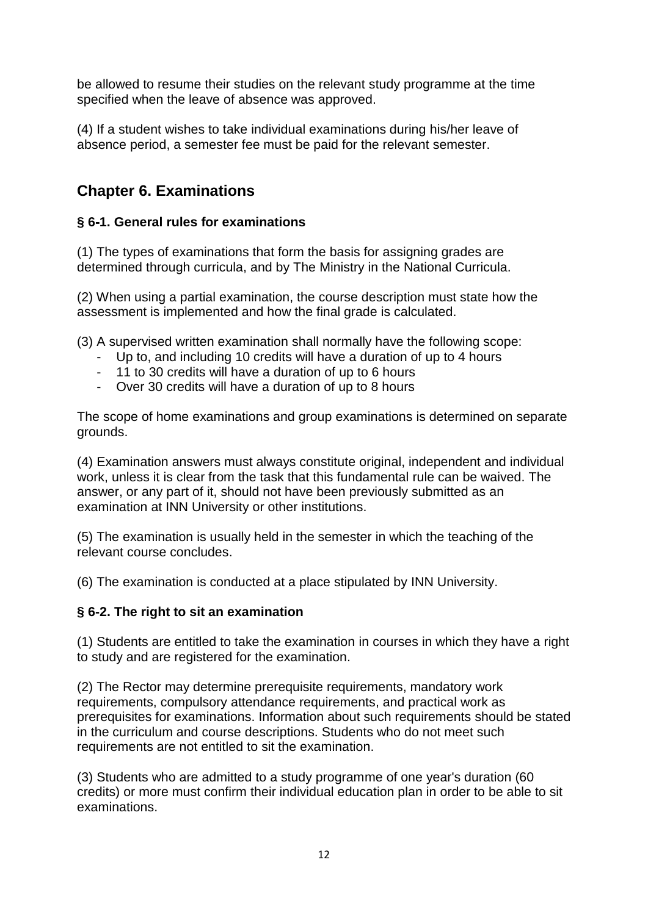be allowed to resume their studies on the relevant study programme at the time specified when the leave of absence was approved.

(4) If a student wishes to take individual examinations during his/her leave of absence period, a semester fee must be paid for the relevant semester.

# **Chapter 6. Examinations**

### **§ 6-1. General rules for examinations**

(1) The types of examinations that form the basis for assigning grades are determined through curricula, and by The Ministry in the National Curricula.

(2) When using a partial examination, the course description must state how the assessment is implemented and how the final grade is calculated.

(3) A supervised written examination shall normally have the following scope:

- Up to, and including 10 credits will have a duration of up to 4 hours
- 11 to 30 credits will have a duration of up to 6 hours
- Over 30 credits will have a duration of up to 8 hours

The scope of home examinations and group examinations is determined on separate grounds.

(4) Examination answers must always constitute original, independent and individual work, unless it is clear from the task that this fundamental rule can be waived. The answer, or any part of it, should not have been previously submitted as an examination at INN University or other institutions.

(5) The examination is usually held in the semester in which the teaching of the relevant course concludes.

(6) The examination is conducted at a place stipulated by INN University.

### **§ 6-2. The right to sit an examination**

(1) Students are entitled to take the examination in courses in which they have a right to study and are registered for the examination.

(2) The Rector may determine prerequisite requirements, mandatory work requirements, compulsory attendance requirements, and practical work as prerequisites for examinations. Information about such requirements should be stated in the curriculum and course descriptions. Students who do not meet such requirements are not entitled to sit the examination.

(3) Students who are admitted to a study programme of one year's duration (60 credits) or more must confirm their individual education plan in order to be able to sit examinations.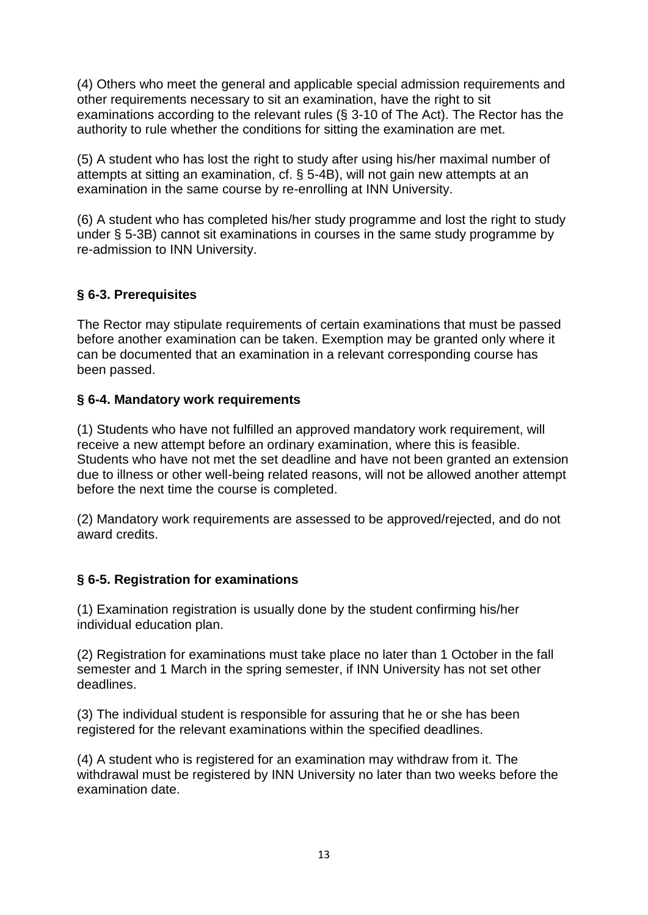(4) Others who meet the general and applicable special admission requirements and other requirements necessary to sit an examination, have the right to sit examinations according to the relevant rules (§ 3-10 of The Act). The Rector has the authority to rule whether the conditions for sitting the examination are met.

(5) A student who has lost the right to study after using his/her maximal number of attempts at sitting an examination, cf. § 5-4B), will not gain new attempts at an examination in the same course by re-enrolling at INN University.

(6) A student who has completed his/her study programme and lost the right to study under § 5-3B) cannot sit examinations in courses in the same study programme by re-admission to INN University.

### **§ 6-3. Prerequisites**

The Rector may stipulate requirements of certain examinations that must be passed before another examination can be taken. Exemption may be granted only where it can be documented that an examination in a relevant corresponding course has been passed.

### **§ 6-4. Mandatory work requirements**

(1) Students who have not fulfilled an approved mandatory work requirement, will receive a new attempt before an ordinary examination, where this is feasible. Students who have not met the set deadline and have not been granted an extension due to illness or other well-being related reasons, will not be allowed another attempt before the next time the course is completed.

(2) Mandatory work requirements are assessed to be approved/rejected, and do not award credits.

### **§ 6-5. Registration for examinations**

(1) Examination registration is usually done by the student confirming his/her individual education plan.

(2) Registration for examinations must take place no later than 1 October in the fall semester and 1 March in the spring semester, if INN University has not set other deadlines.

(3) The individual student is responsible for assuring that he or she has been registered for the relevant examinations within the specified deadlines.

(4) A student who is registered for an examination may withdraw from it. The withdrawal must be registered by INN University no later than two weeks before the examination date.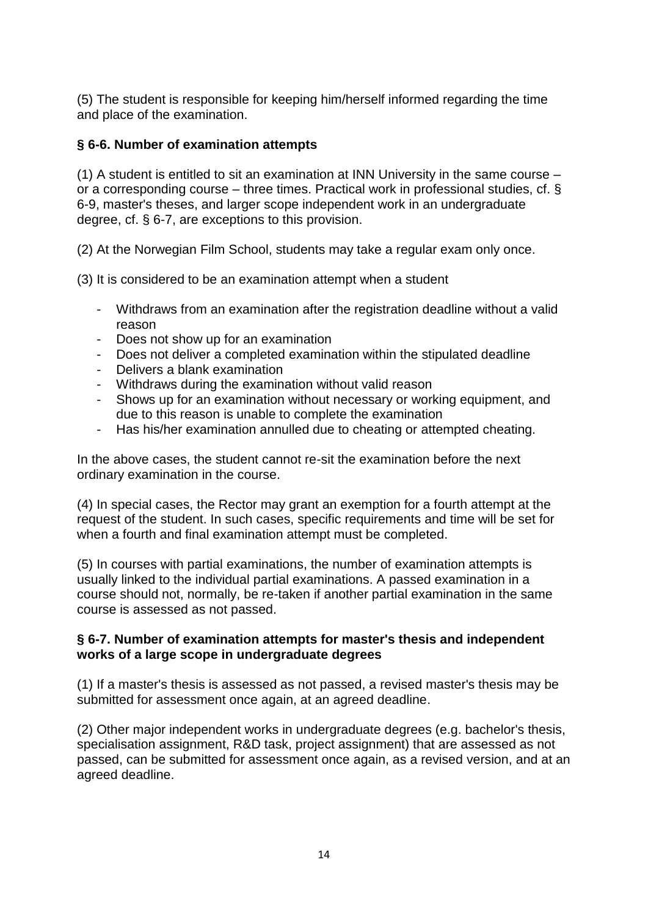(5) The student is responsible for keeping him/herself informed regarding the time and place of the examination.

#### **§ 6-6. Number of examination attempts**

(1) A student is entitled to sit an examination at INN University in the same course – or a corresponding course – three times. Practical work in professional studies, cf. § 6-9, master's theses, and larger scope independent work in an undergraduate degree, cf. § 6-7, are exceptions to this provision.

(2) At the Norwegian Film School, students may take a regular exam only once.

(3) It is considered to be an examination attempt when a student

- Withdraws from an examination after the registration deadline without a valid reason
- Does not show up for an examination
- Does not deliver a completed examination within the stipulated deadline
- Delivers a blank examination
- Withdraws during the examination without valid reason
- Shows up for an examination without necessary or working equipment, and due to this reason is unable to complete the examination
- Has his/her examination annulled due to cheating or attempted cheating.

In the above cases, the student cannot re-sit the examination before the next ordinary examination in the course.

(4) In special cases, the Rector may grant an exemption for a fourth attempt at the request of the student. In such cases, specific requirements and time will be set for when a fourth and final examination attempt must be completed.

(5) In courses with partial examinations, the number of examination attempts is usually linked to the individual partial examinations. A passed examination in a course should not, normally, be re-taken if another partial examination in the same course is assessed as not passed.

#### **§ 6-7. Number of examination attempts for master's thesis and independent works of a large scope in undergraduate degrees**

(1) If a master's thesis is assessed as not passed, a revised master's thesis may be submitted for assessment once again, at an agreed deadline.

(2) Other major independent works in undergraduate degrees (e.g. bachelor's thesis, specialisation assignment, R&D task, project assignment) that are assessed as not passed, can be submitted for assessment once again, as a revised version, and at an agreed deadline.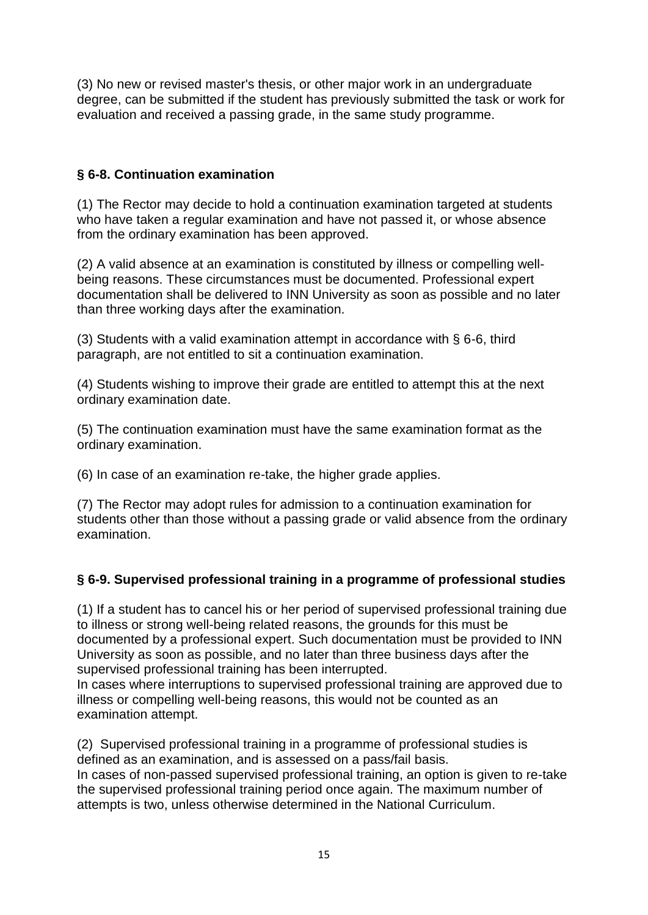(3) No new or revised master's thesis, or other major work in an undergraduate degree, can be submitted if the student has previously submitted the task or work for evaluation and received a passing grade, in the same study programme.

### **§ 6-8. Continuation examination**

(1) The Rector may decide to hold a continuation examination targeted at students who have taken a regular examination and have not passed it, or whose absence from the ordinary examination has been approved.

(2) A valid absence at an examination is constituted by illness or compelling wellbeing reasons. These circumstances must be documented. Professional expert documentation shall be delivered to INN University as soon as possible and no later than three working days after the examination.

(3) Students with a valid examination attempt in accordance with § 6-6, third paragraph, are not entitled to sit a continuation examination.

(4) Students wishing to improve their grade are entitled to attempt this at the next ordinary examination date.

(5) The continuation examination must have the same examination format as the ordinary examination.

(6) In case of an examination re-take, the higher grade applies.

(7) The Rector may adopt rules for admission to a continuation examination for students other than those without a passing grade or valid absence from the ordinary examination.

# **§ 6-9. Supervised professional training in a programme of professional studies**

(1) If a student has to cancel his or her period of supervised professional training due to illness or strong well-being related reasons, the grounds for this must be documented by a professional expert. Such documentation must be provided to INN University as soon as possible, and no later than three business days after the supervised professional training has been interrupted.

In cases where interruptions to supervised professional training are approved due to illness or compelling well-being reasons, this would not be counted as an examination attempt.

(2) Supervised professional training in a programme of professional studies is defined as an examination, and is assessed on a pass/fail basis. In cases of non-passed supervised professional training, an option is given to re-take the supervised professional training period once again. The maximum number of attempts is two, unless otherwise determined in the National Curriculum.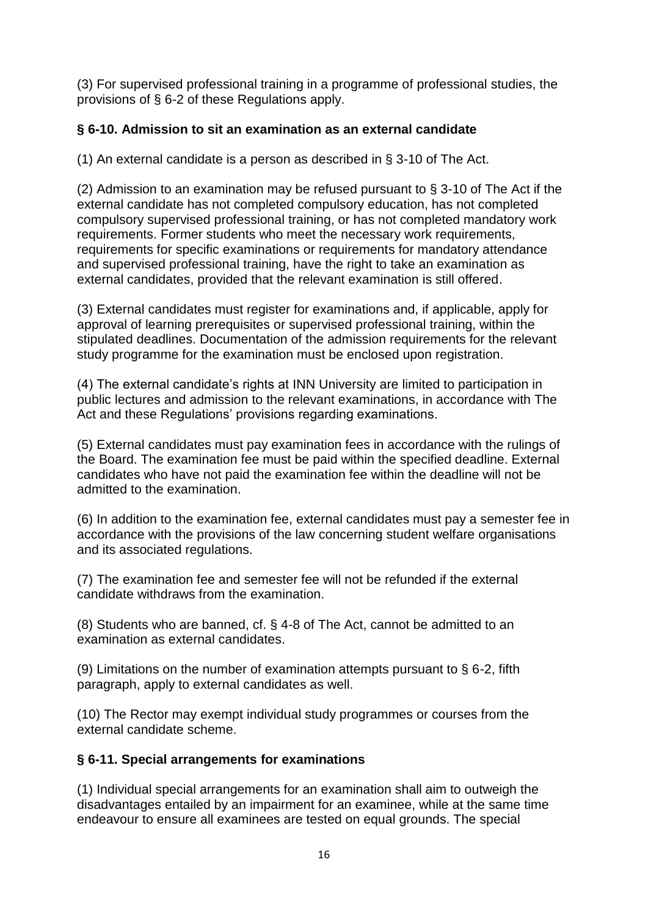(3) For supervised professional training in a programme of professional studies, the provisions of § 6-2 of these Regulations apply.

### **§ 6-10. Admission to sit an examination as an external candidate**

(1) An external candidate is a person as described in § 3-10 of The Act.

(2) Admission to an examination may be refused pursuant to § 3-10 of The Act if the external candidate has not completed compulsory education, has not completed compulsory supervised professional training, or has not completed mandatory work requirements. Former students who meet the necessary work requirements, requirements for specific examinations or requirements for mandatory attendance and supervised professional training, have the right to take an examination as external candidates, provided that the relevant examination is still offered.

(3) External candidates must register for examinations and, if applicable, apply for approval of learning prerequisites or supervised professional training, within the stipulated deadlines. Documentation of the admission requirements for the relevant study programme for the examination must be enclosed upon registration.

(4) The external candidate's rights at INN University are limited to participation in public lectures and admission to the relevant examinations, in accordance with The Act and these Regulations' provisions regarding examinations.

(5) External candidates must pay examination fees in accordance with the rulings of the Board. The examination fee must be paid within the specified deadline. External candidates who have not paid the examination fee within the deadline will not be admitted to the examination.

(6) In addition to the examination fee, external candidates must pay a semester fee in accordance with the provisions of the law concerning student welfare organisations and its associated regulations.

(7) The examination fee and semester fee will not be refunded if the external candidate withdraws from the examination.

(8) Students who are banned, cf. § 4-8 of The Act, cannot be admitted to an examination as external candidates.

(9) Limitations on the number of examination attempts pursuant to  $\S$  6-2, fifth paragraph, apply to external candidates as well.

(10) The Rector may exempt individual study programmes or courses from the external candidate scheme.

# **§ 6-11. Special arrangements for examinations**

(1) Individual special arrangements for an examination shall aim to outweigh the disadvantages entailed by an impairment for an examinee, while at the same time endeavour to ensure all examinees are tested on equal grounds. The special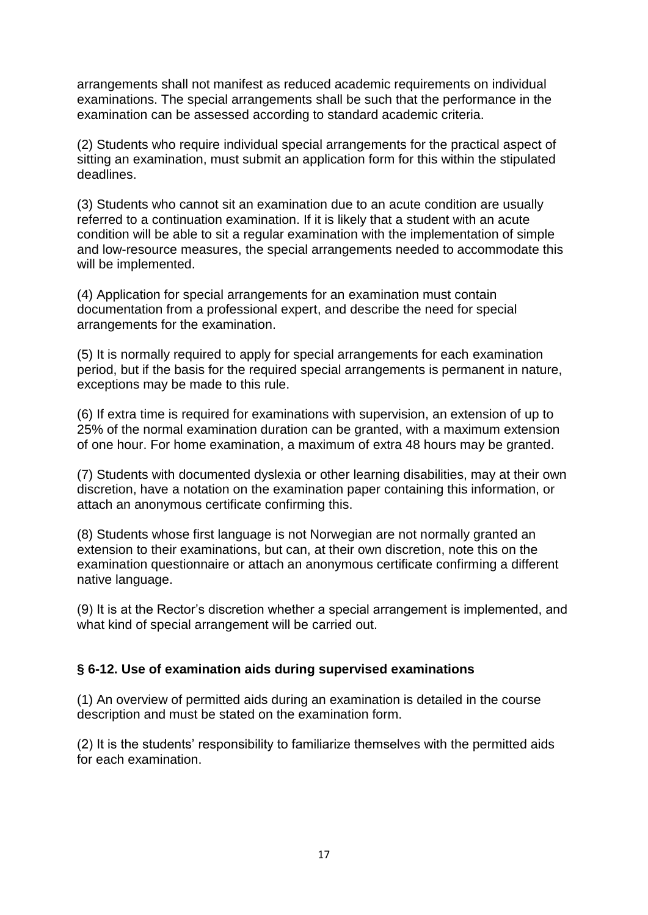arrangements shall not manifest as reduced academic requirements on individual examinations. The special arrangements shall be such that the performance in the examination can be assessed according to standard academic criteria.

(2) Students who require individual special arrangements for the practical aspect of sitting an examination, must submit an application form for this within the stipulated deadlines.

(3) Students who cannot sit an examination due to an acute condition are usually referred to a continuation examination. If it is likely that a student with an acute condition will be able to sit a regular examination with the implementation of simple and low-resource measures, the special arrangements needed to accommodate this will be implemented.

(4) Application for special arrangements for an examination must contain documentation from a professional expert, and describe the need for special arrangements for the examination.

(5) It is normally required to apply for special arrangements for each examination period, but if the basis for the required special arrangements is permanent in nature, exceptions may be made to this rule.

(6) If extra time is required for examinations with supervision, an extension of up to 25% of the normal examination duration can be granted, with a maximum extension of one hour. For home examination, a maximum of extra 48 hours may be granted.

(7) Students with documented dyslexia or other learning disabilities, may at their own discretion, have a notation on the examination paper containing this information, or attach an anonymous certificate confirming this.

(8) Students whose first language is not Norwegian are not normally granted an extension to their examinations, but can, at their own discretion, note this on the examination questionnaire or attach an anonymous certificate confirming a different native language.

(9) It is at the Rector's discretion whether a special arrangement is implemented, and what kind of special arrangement will be carried out.

#### **§ 6-12. Use of examination aids during supervised examinations**

(1) An overview of permitted aids during an examination is detailed in the course description and must be stated on the examination form.

(2) It is the students' responsibility to familiarize themselves with the permitted aids for each examination.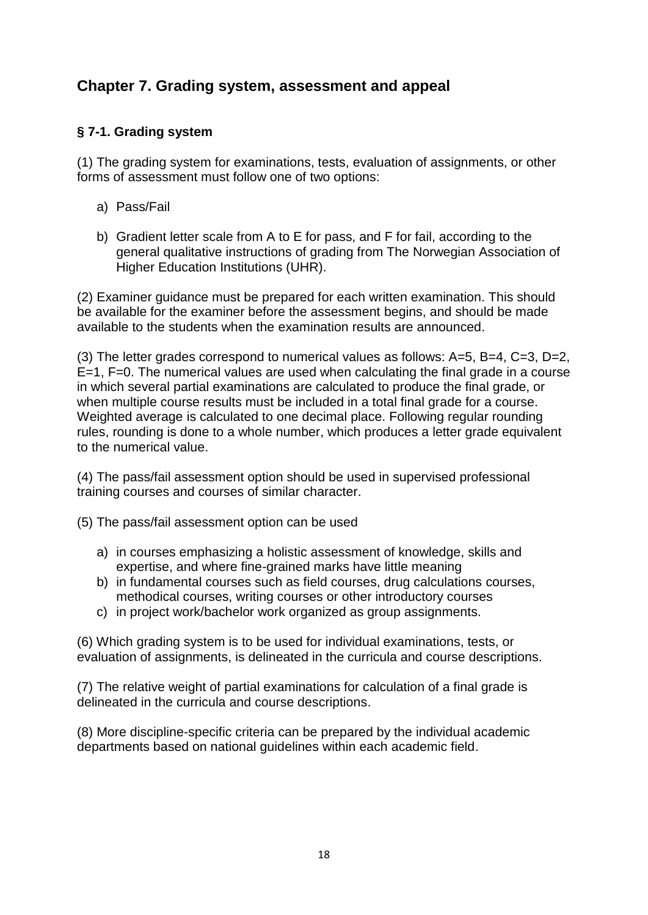# **Chapter 7. Grading system, assessment and appeal**

### **§ 7-1. Grading system**

(1) The grading system for examinations, tests, evaluation of assignments, or other forms of assessment must follow one of two options:

- a) Pass/Fail
- b) Gradient letter scale from A to E for pass, and F for fail, according to the general qualitative instructions of grading from The Norwegian Association of Higher Education Institutions (UHR).

(2) Examiner guidance must be prepared for each written examination. This should be available for the examiner before the assessment begins, and should be made available to the students when the examination results are announced.

(3) The letter grades correspond to numerical values as follows: A=5, B=4, C=3, D=2, E=1, F=0. The numerical values are used when calculating the final grade in a course in which several partial examinations are calculated to produce the final grade, or when multiple course results must be included in a total final grade for a course. Weighted average is calculated to one decimal place. Following regular rounding rules, rounding is done to a whole number, which produces a letter grade equivalent to the numerical value.

(4) The pass/fail assessment option should be used in supervised professional training courses and courses of similar character.

(5) The pass/fail assessment option can be used

- a) in courses emphasizing a holistic assessment of knowledge, skills and expertise, and where fine-grained marks have little meaning
- b) in fundamental courses such as field courses, drug calculations courses, methodical courses, writing courses or other introductory courses
- c) in project work/bachelor work organized as group assignments.

(6) Which grading system is to be used for individual examinations, tests, or evaluation of assignments, is delineated in the curricula and course descriptions.

(7) The relative weight of partial examinations for calculation of a final grade is delineated in the curricula and course descriptions.

(8) More discipline-specific criteria can be prepared by the individual academic departments based on national guidelines within each academic field.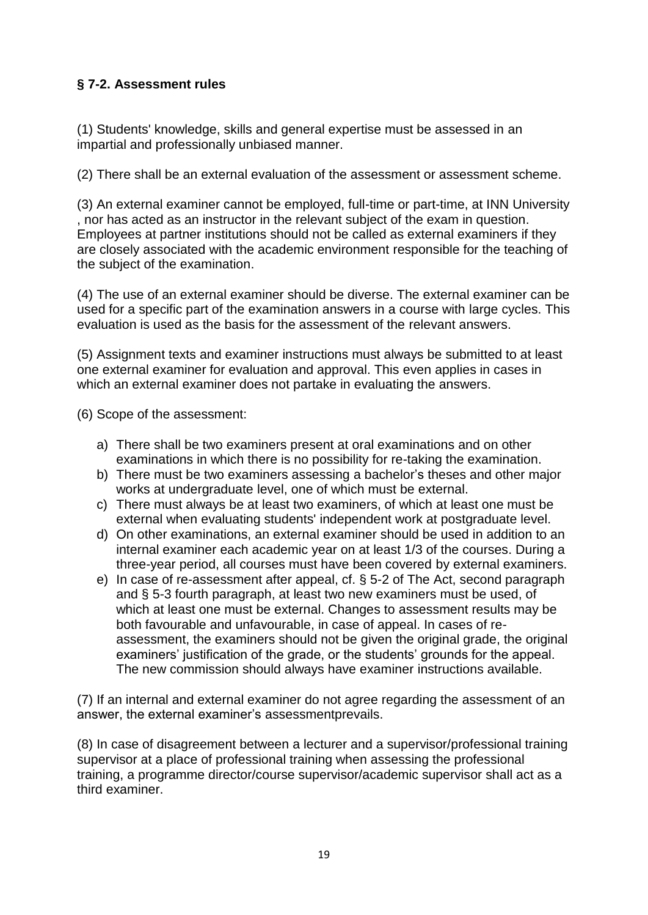# **§ 7-2. Assessment rules**

(1) Students' knowledge, skills and general expertise must be assessed in an impartial and professionally unbiased manner.

(2) There shall be an external evaluation of the assessment or assessment scheme.

(3) An external examiner cannot be employed, full-time or part-time, at INN University , nor has acted as an instructor in the relevant subject of the exam in question. Employees at partner institutions should not be called as external examiners if they are closely associated with the academic environment responsible for the teaching of the subject of the examination.

(4) The use of an external examiner should be diverse. The external examiner can be used for a specific part of the examination answers in a course with large cycles. This evaluation is used as the basis for the assessment of the relevant answers.

(5) Assignment texts and examiner instructions must always be submitted to at least one external examiner for evaluation and approval. This even applies in cases in which an external examiner does not partake in evaluating the answers.

(6) Scope of the assessment:

- a) There shall be two examiners present at oral examinations and on other examinations in which there is no possibility for re-taking the examination.
- b) There must be two examiners assessing a bachelor's theses and other major works at undergraduate level, one of which must be external.
- c) There must always be at least two examiners, of which at least one must be external when evaluating students' independent work at postgraduate level.
- d) On other examinations, an external examiner should be used in addition to an internal examiner each academic year on at least 1/3 of the courses. During a three-year period, all courses must have been covered by external examiners.
- e) In case of re-assessment after appeal, cf. § 5-2 of The Act, second paragraph and § 5-3 fourth paragraph, at least two new examiners must be used, of which at least one must be external. Changes to assessment results may be both favourable and unfavourable, in case of appeal. In cases of reassessment, the examiners should not be given the original grade, the original examiners' justification of the grade, or the students' grounds for the appeal. The new commission should always have examiner instructions available.

(7) If an internal and external examiner do not agree regarding the assessment of an answer, the external examiner's assessmentprevails.

(8) In case of disagreement between a lecturer and a supervisor/professional training supervisor at a place of professional training when assessing the professional training, a programme director/course supervisor/academic supervisor shall act as a third examiner.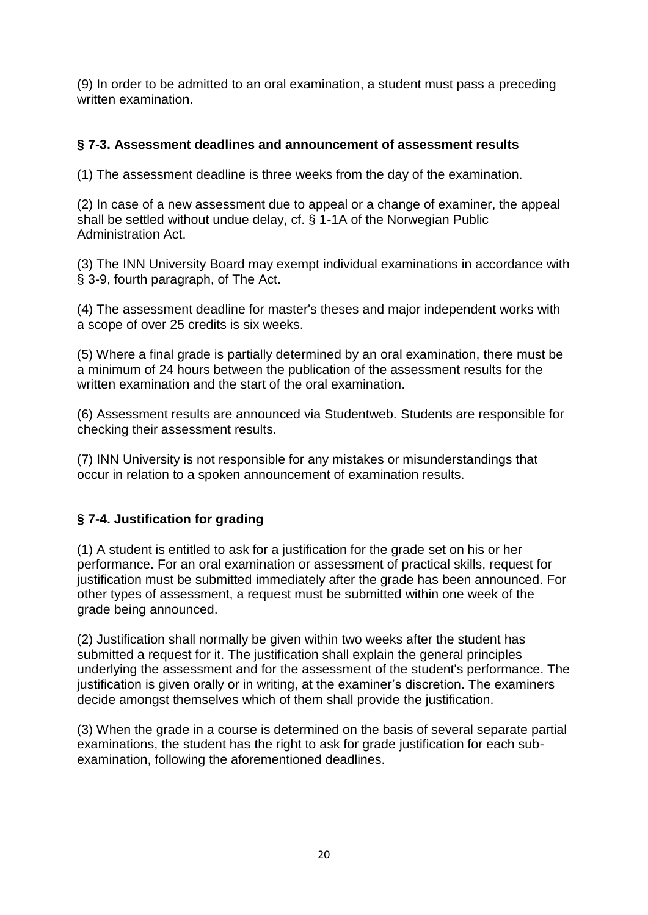(9) In order to be admitted to an oral examination, a student must pass a preceding written examination.

### **§ 7-3. Assessment deadlines and announcement of assessment results**

(1) The assessment deadline is three weeks from the day of the examination.

(2) In case of a new assessment due to appeal or a change of examiner, the appeal shall be settled without undue delay, cf. § 1-1A of the Norwegian Public Administration Act.

(3) The INN University Board may exempt individual examinations in accordance with § 3-9, fourth paragraph, of The Act.

(4) The assessment deadline for master's theses and major independent works with a scope of over 25 credits is six weeks.

(5) Where a final grade is partially determined by an oral examination, there must be a minimum of 24 hours between the publication of the assessment results for the written examination and the start of the oral examination.

(6) Assessment results are announced via Studentweb. Students are responsible for checking their assessment results.

(7) INN University is not responsible for any mistakes or misunderstandings that occur in relation to a spoken announcement of examination results.

# **§ 7-4. Justification for grading**

(1) A student is entitled to ask for a justification for the grade set on his or her performance. For an oral examination or assessment of practical skills, request for justification must be submitted immediately after the grade has been announced. For other types of assessment, a request must be submitted within one week of the grade being announced.

(2) Justification shall normally be given within two weeks after the student has submitted a request for it. The justification shall explain the general principles underlying the assessment and for the assessment of the student's performance. The justification is given orally or in writing, at the examiner's discretion. The examiners decide amongst themselves which of them shall provide the justification.

(3) When the grade in a course is determined on the basis of several separate partial examinations, the student has the right to ask for grade justification for each subexamination, following the aforementioned deadlines.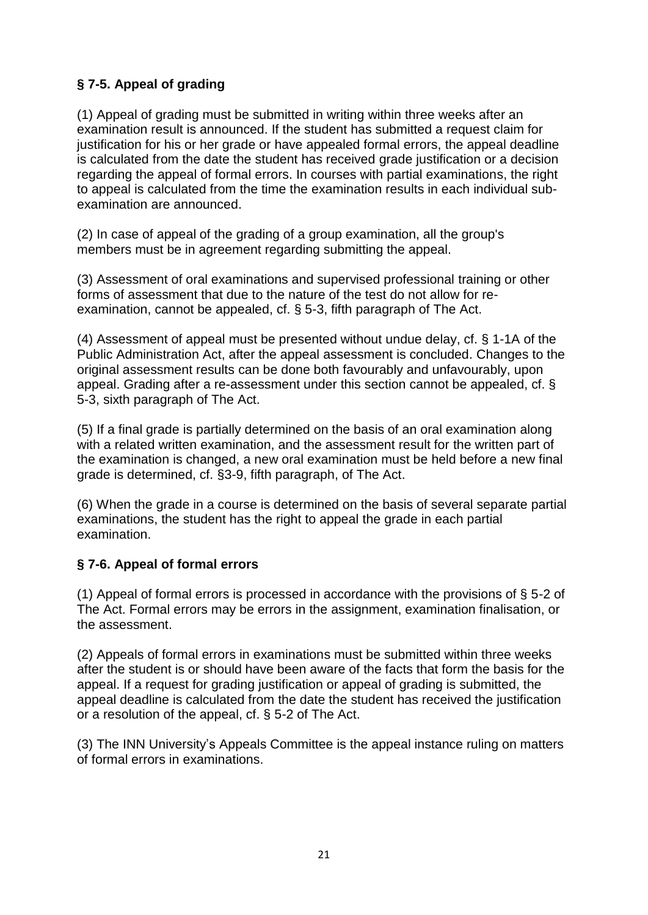# **§ 7-5. Appeal of grading**

(1) Appeal of grading must be submitted in writing within three weeks after an examination result is announced. If the student has submitted a request claim for justification for his or her grade or have appealed formal errors, the appeal deadline is calculated from the date the student has received grade justification or a decision regarding the appeal of formal errors. In courses with partial examinations, the right to appeal is calculated from the time the examination results in each individual subexamination are announced.

(2) In case of appeal of the grading of a group examination, all the group's members must be in agreement regarding submitting the appeal.

(3) Assessment of oral examinations and supervised professional training or other forms of assessment that due to the nature of the test do not allow for reexamination, cannot be appealed, cf. § 5-3, fifth paragraph of The Act.

(4) Assessment of appeal must be presented without undue delay, cf. § 1-1A of the Public Administration Act, after the appeal assessment is concluded. Changes to the original assessment results can be done both favourably and unfavourably, upon appeal. Grading after a re-assessment under this section cannot be appealed, cf. § 5-3, sixth paragraph of The Act.

(5) If a final grade is partially determined on the basis of an oral examination along with a related written examination, and the assessment result for the written part of the examination is changed, a new oral examination must be held before a new final grade is determined, cf. §3-9, fifth paragraph, of The Act.

(6) When the grade in a course is determined on the basis of several separate partial examinations, the student has the right to appeal the grade in each partial examination.

# **§ 7-6. Appeal of formal errors**

(1) Appeal of formal errors is processed in accordance with the provisions of § 5-2 of The Act. Formal errors may be errors in the assignment, examination finalisation, or the assessment.

(2) Appeals of formal errors in examinations must be submitted within three weeks after the student is or should have been aware of the facts that form the basis for the appeal. If a request for grading justification or appeal of grading is submitted, the appeal deadline is calculated from the date the student has received the justification or a resolution of the appeal, cf. § 5-2 of The Act.

(3) The INN University's Appeals Committee is the appeal instance ruling on matters of formal errors in examinations.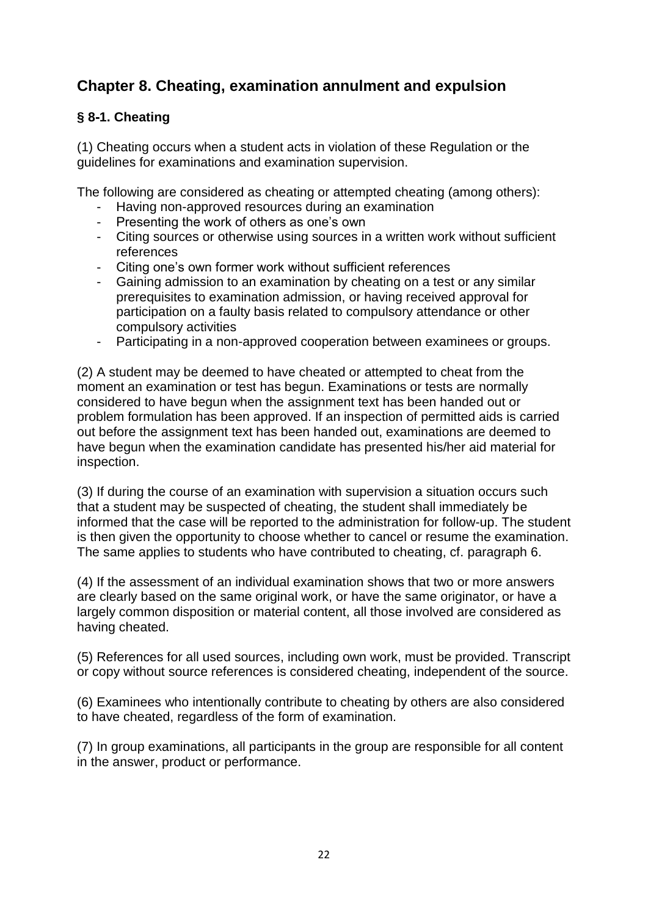# **Chapter 8. Cheating, examination annulment and expulsion**

### **§ 8-1. Cheating**

(1) Cheating occurs when a student acts in violation of these Regulation or the guidelines for examinations and examination supervision.

The following are considered as cheating or attempted cheating (among others):

- Having non-approved resources during an examination
- Presenting the work of others as one's own
- Citing sources or otherwise using sources in a written work without sufficient references
- Citing one's own former work without sufficient references
- Gaining admission to an examination by cheating on a test or any similar prerequisites to examination admission, or having received approval for participation on a faulty basis related to compulsory attendance or other compulsory activities
- Participating in a non-approved cooperation between examinees or groups.

(2) A student may be deemed to have cheated or attempted to cheat from the moment an examination or test has begun. Examinations or tests are normally considered to have begun when the assignment text has been handed out or problem formulation has been approved. If an inspection of permitted aids is carried out before the assignment text has been handed out, examinations are deemed to have begun when the examination candidate has presented his/her aid material for inspection.

(3) If during the course of an examination with supervision a situation occurs such that a student may be suspected of cheating, the student shall immediately be informed that the case will be reported to the administration for follow-up. The student is then given the opportunity to choose whether to cancel or resume the examination. The same applies to students who have contributed to cheating, cf. paragraph 6.

(4) If the assessment of an individual examination shows that two or more answers are clearly based on the same original work, or have the same originator, or have a largely common disposition or material content, all those involved are considered as having cheated.

(5) References for all used sources, including own work, must be provided. Transcript or copy without source references is considered cheating, independent of the source.

(6) Examinees who intentionally contribute to cheating by others are also considered to have cheated, regardless of the form of examination.

(7) In group examinations, all participants in the group are responsible for all content in the answer, product or performance.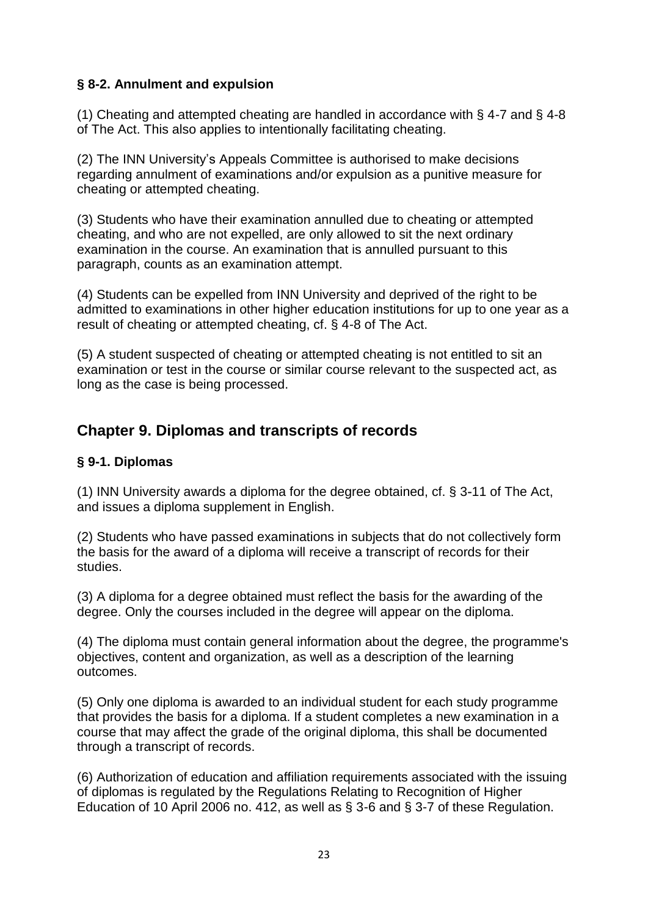### **§ 8-2. Annulment and expulsion**

(1) Cheating and attempted cheating are handled in accordance with § 4-7 and § 4-8 of The Act. This also applies to intentionally facilitating cheating.

(2) The INN University's Appeals Committee is authorised to make decisions regarding annulment of examinations and/or expulsion as a punitive measure for cheating or attempted cheating.

(3) Students who have their examination annulled due to cheating or attempted cheating, and who are not expelled, are only allowed to sit the next ordinary examination in the course. An examination that is annulled pursuant to this paragraph, counts as an examination attempt.

(4) Students can be expelled from INN University and deprived of the right to be admitted to examinations in other higher education institutions for up to one year as a result of cheating or attempted cheating, cf. § 4-8 of The Act.

(5) A student suspected of cheating or attempted cheating is not entitled to sit an examination or test in the course or similar course relevant to the suspected act, as long as the case is being processed.

# **Chapter 9. Diplomas and transcripts of records**

### **§ 9-1. Diplomas**

(1) INN University awards a diploma for the degree obtained, cf. § 3-11 of The Act, and issues a diploma supplement in English.

(2) Students who have passed examinations in subjects that do not collectively form the basis for the award of a diploma will receive a transcript of records for their studies.

(3) A diploma for a degree obtained must reflect the basis for the awarding of the degree. Only the courses included in the degree will appear on the diploma.

(4) The diploma must contain general information about the degree, the programme's objectives, content and organization, as well as a description of the learning outcomes.

(5) Only one diploma is awarded to an individual student for each study programme that provides the basis for a diploma. If a student completes a new examination in a course that may affect the grade of the original diploma, this shall be documented through a transcript of records.

(6) Authorization of education and affiliation requirements associated with the issuing of diplomas is regulated by the Regulations Relating to Recognition of Higher Education of 10 April 2006 no. 412, as well as § 3-6 and § 3-7 of these Regulation.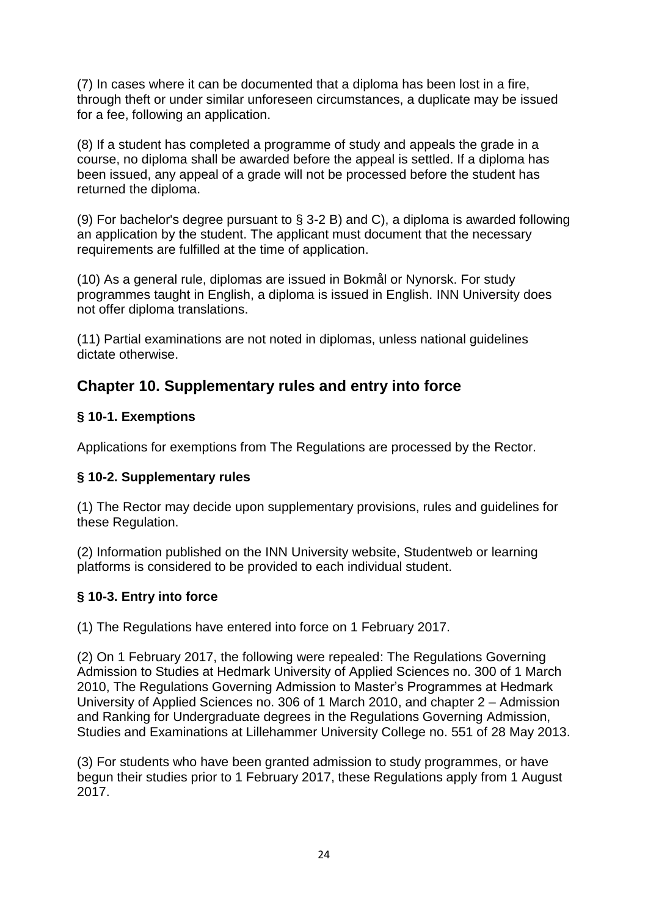(7) In cases where it can be documented that a diploma has been lost in a fire, through theft or under similar unforeseen circumstances, a duplicate may be issued for a fee, following an application.

(8) If a student has completed a programme of study and appeals the grade in a course, no diploma shall be awarded before the appeal is settled. If a diploma has been issued, any appeal of a grade will not be processed before the student has returned the diploma.

(9) For bachelor's degree pursuant to § 3-2 B) and C), a diploma is awarded following an application by the student. The applicant must document that the necessary requirements are fulfilled at the time of application.

(10) As a general rule, diplomas are issued in Bokmål or Nynorsk. For study programmes taught in English, a diploma is issued in English. INN University does not offer diploma translations.

(11) Partial examinations are not noted in diplomas, unless national guidelines dictate otherwise.

# **Chapter 10. Supplementary rules and entry into force**

# **§ 10-1. Exemptions**

Applications for exemptions from The Regulations are processed by the Rector.

### **§ 10-2. Supplementary rules**

(1) The Rector may decide upon supplementary provisions, rules and guidelines for these Regulation.

(2) Information published on the INN University website, Studentweb or learning platforms is considered to be provided to each individual student.

# **§ 10-3. Entry into force**

(1) The Regulations have entered into force on 1 February 2017.

(2) On 1 February 2017, the following were repealed: The Regulations Governing Admission to Studies at Hedmark University of Applied Sciences no. 300 of 1 March 2010, The Regulations Governing Admission to Master's Programmes at Hedmark University of Applied Sciences no. 306 of 1 March 2010, and chapter 2 – Admission and Ranking for Undergraduate degrees in the Regulations Governing Admission, Studies and Examinations at Lillehammer University College no. 551 of 28 May 2013.

(3) For students who have been granted admission to study programmes, or have begun their studies prior to 1 February 2017, these Regulations apply from 1 August 2017.